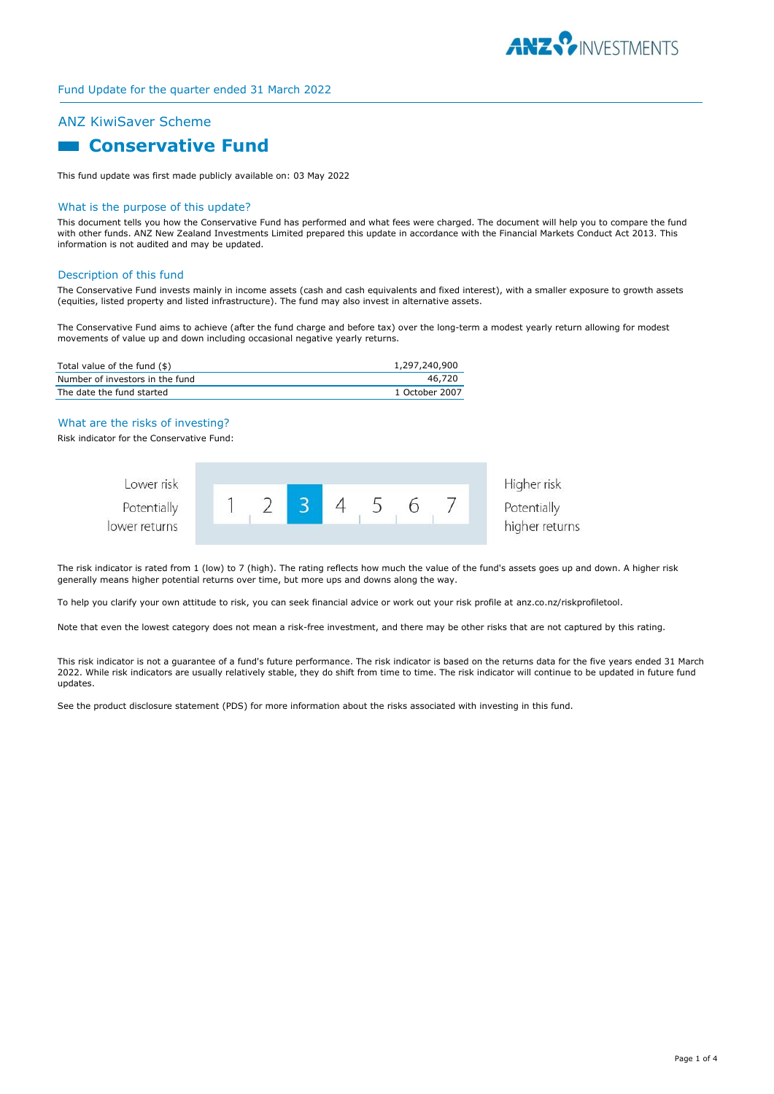

# ANZ KiwiSaver Scheme

# **Conservative Fund**

This fund update was first made publicly available on: 03 May 2022

#### What is the purpose of this update?

This document tells you how the Conservative Fund has performed and what fees were charged. The document will help you to compare the fund with other funds. ANZ New Zealand Investments Limited prepared this update in accordance with the Financial Markets Conduct Act 2013. This information is not audited and may be updated.

### Description of this fund

The Conservative Fund invests mainly in income assets (cash and cash equivalents and fixed interest), with a smaller exposure to growth assets (equities, listed property and listed infrastructure). The fund may also invest in alternative assets.

The Conservative Fund aims to achieve (after the fund charge and before tax) over the long-term a modest yearly return allowing for modest movements of value up and down including occasional negative yearly returns.

| Total value of the fund (\$)    | 1,297,240,900  |
|---------------------------------|----------------|
| Number of investors in the fund | 46,720         |
| The date the fund started       | 1 October 2007 |

## What are the risks of investing?

Risk indicator for the Conservative Fund:



The risk indicator is rated from 1 (low) to 7 (high). The rating reflects how much the value of the fund's assets goes up and down. A higher risk generally means higher potential returns over time, but more ups and downs along the way.

To help you clarify your own attitude to risk, you can seek financial advice or work out your risk profile at anz.co.nz/riskprofiletool.

Note that even the lowest category does not mean a risk-free investment, and there may be other risks that are not captured by this rating.

This risk indicator is not a guarantee of a fund's future performance. The risk indicator is based on the returns data for the five years ended 31 March 2022. While risk indicators are usually relatively stable, they do shift from time to time. The risk indicator will continue to be updated in future fund updates.

See the product disclosure statement (PDS) for more information about the risks associated with investing in this fund.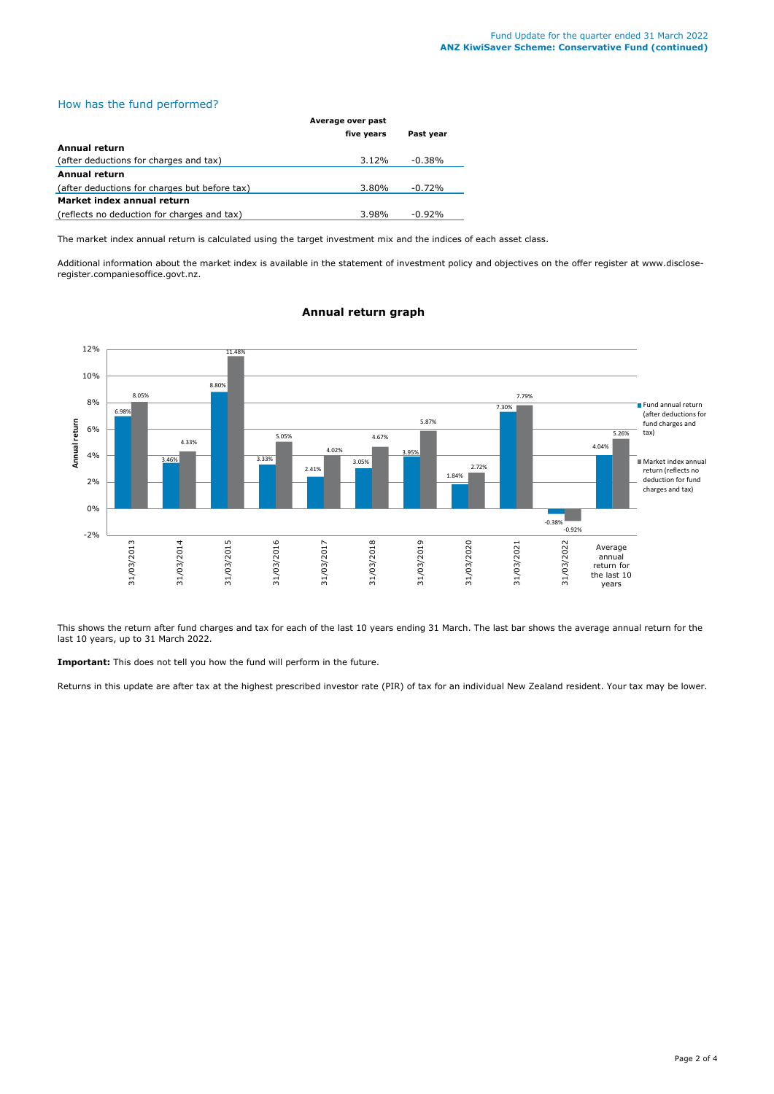# How has the fund performed?

|                                               | Average over past |           |
|-----------------------------------------------|-------------------|-----------|
|                                               | five years        | Past year |
| Annual return                                 |                   |           |
| (after deductions for charges and tax)        | 3.12%             | $-0.38%$  |
| Annual return                                 |                   |           |
| (after deductions for charges but before tax) | 3.80%             | $-0.72%$  |
| Market index annual return                    |                   |           |
| (reflects no deduction for charges and tax)   | 3.98%             | $-0.92%$  |

The market index annual return is calculated using the target investment mix and the indices of each asset class.

Additional information about the market index is available in the statement of investment policy and objectives on the offer register at www.discloseregister.companiesoffice.govt.nz.



# **Annual return graph**

This shows the return after fund charges and tax for each of the last 10 years ending 31 March. The last bar shows the average annual return for the last 10 years, up to 31 March 2022.

**Important:** This does not tell you how the fund will perform in the future.

Returns in this update are after tax at the highest prescribed investor rate (PIR) of tax for an individual New Zealand resident. Your tax may be lower.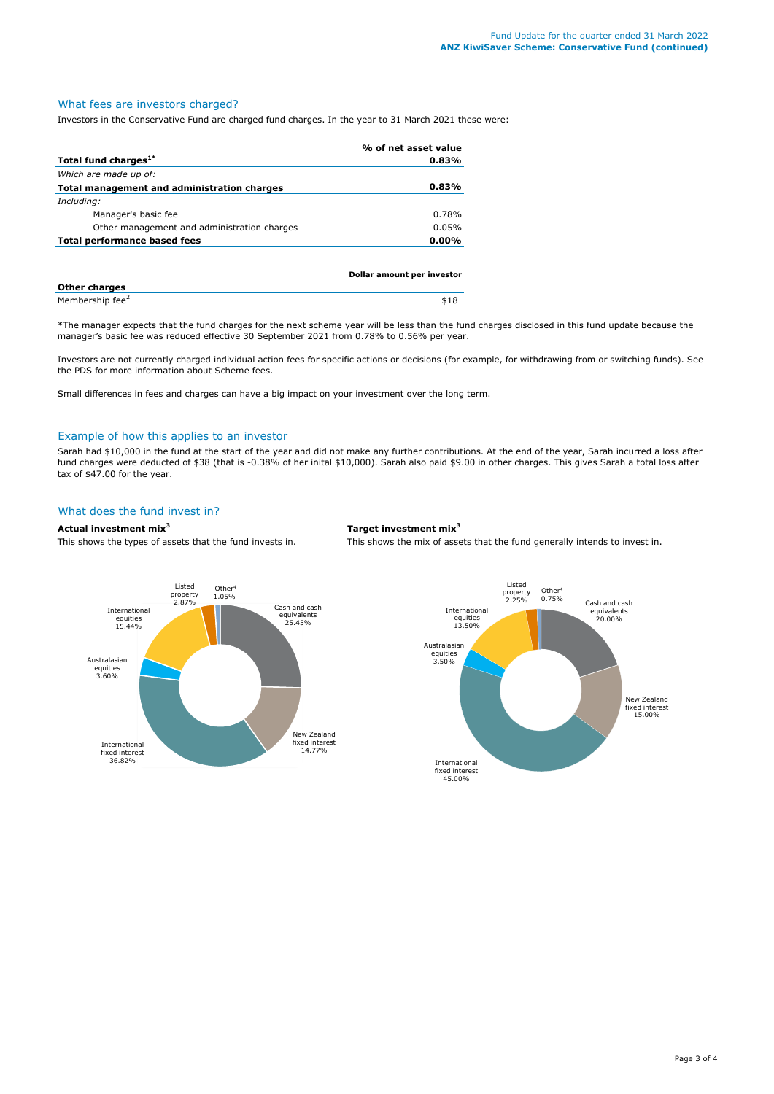# What fees are investors charged?

Investors in the Conservative Fund are charged fund charges. In the year to 31 March 2021 these were:

|                                             | % of net asset value |
|---------------------------------------------|----------------------|
| Total fund charges <sup>1*</sup>            | 0.83%                |
| Which are made up of:                       |                      |
| Total management and administration charges | 0.83%                |
| Including:                                  |                      |
| Manager's basic fee                         | 0.78%                |
| Other management and administration charges | 0.05%                |
| Total performance based fees                | $0.00\%$             |
|                                             |                      |
|                                             |                      |

| Dollar amount per investor  |      |
|-----------------------------|------|
| <b>Other charges</b>        |      |
| Membership fee <sup>2</sup> | \$18 |

\*The manager expects that the fund charges for the next scheme year will be less than the fund charges disclosed in this fund update because the manager's basic fee was reduced effective 30 September 2021 from 0.78% to 0.56% per year.

Investors are not currently charged individual action fees for specific actions or decisions (for example, for withdrawing from or switching funds). See the PDS for more information about Scheme fees.

Small differences in fees and charges can have a big impact on your investment over the long term.

#### Example of how this applies to an investor

Sarah had \$10,000 in the fund at the start of the year and did not make any further contributions. At the end of the year, Sarah incurred a loss after fund charges were deducted of \$38 (that is -0.38% of her inital \$10,000). Sarah also paid \$9.00 in other charges. This gives Sarah a total loss after tax of \$47.00 for the year.

# What does the fund invest in?

#### **Actual investment mix<sup>3</sup> Target investment mix<sup>3</sup>**

This shows the types of assets that the fund invests in. This shows the mix of assets that the fund generally intends to invest in.